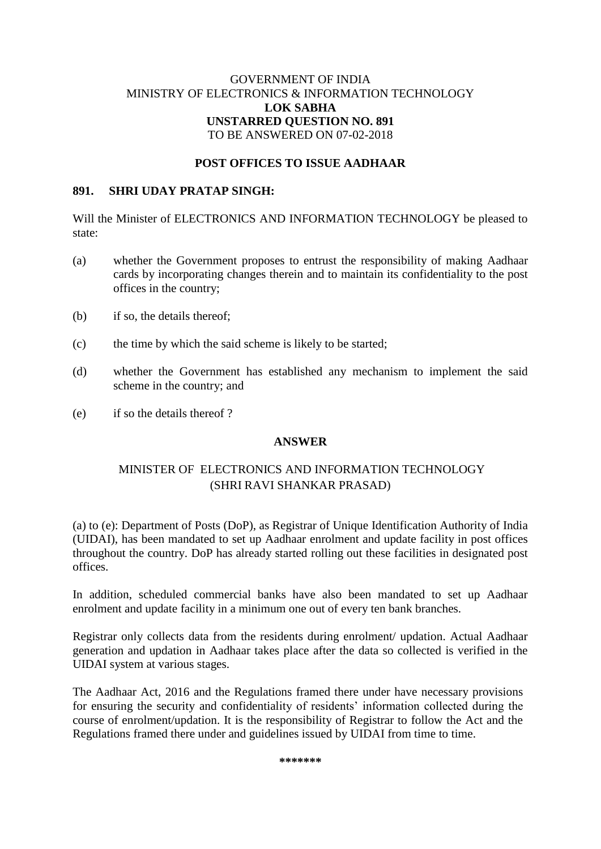## GOVERNMENT OF INDIA MINISTRY OF ELECTRONICS & INFORMATION TECHNOLOGY **LOK SABHA UNSTARRED QUESTION NO. 891** TO BE ANSWERED ON 07-02-2018

## **POST OFFICES TO ISSUE AADHAAR**

#### **891. SHRI UDAY PRATAP SINGH:**

Will the Minister of ELECTRONICS AND INFORMATION TECHNOLOGY be pleased to state:

- (a) whether the Government proposes to entrust the responsibility of making Aadhaar cards by incorporating changes therein and to maintain its confidentiality to the post offices in the country;
- (b) if so, the details thereof;
- (c) the time by which the said scheme is likely to be started;
- (d) whether the Government has established any mechanism to implement the said scheme in the country; and
- (e) if so the details thereof ?

### **ANSWER**

# MINISTER OF ELECTRONICS AND INFORMATION TECHNOLOGY (SHRI RAVI SHANKAR PRASAD)

(a) to (e): Department of Posts (DoP), as Registrar of Unique Identification Authority of India (UIDAI), has been mandated to set up Aadhaar enrolment and update facility in post offices throughout the country. DoP has already started rolling out these facilities in designated post offices.

In addition, scheduled commercial banks have also been mandated to set up Aadhaar enrolment and update facility in a minimum one out of every ten bank branches.

Registrar only collects data from the residents during enrolment/ updation. Actual Aadhaar generation and updation in Aadhaar takes place after the data so collected is verified in the UIDAI system at various stages.

The Aadhaar Act, 2016 and the Regulations framed there under have necessary provisions for ensuring the security and confidentiality of residents' information collected during the course of enrolment/updation. It is the responsibility of Registrar to follow the Act and the Regulations framed there under and guidelines issued by UIDAI from time to time.

**\*\*\*\*\*\*\***